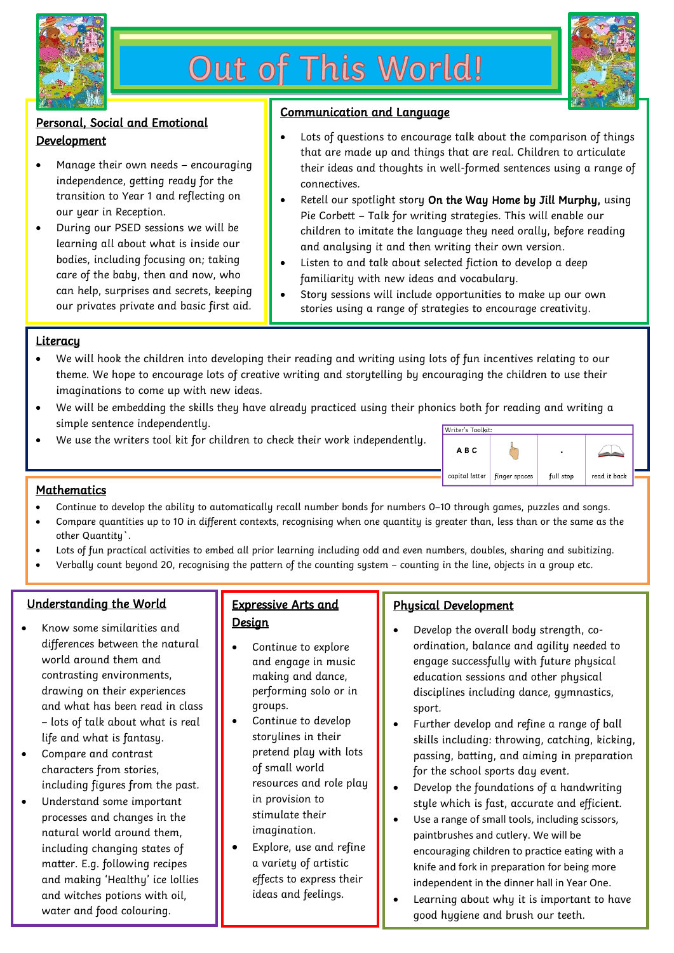

# Out of This World!



### Personal, Social and Emotional **Development**

- Manage their own needs encouraging independence, getting ready for the transition to Year 1 and reflecting on our year in Reception.
- During our PSED sessions we will be learning all about what is inside our bodies, including focusing on; taking care of the baby, then and now, who can help, surprises and secrets, keeping our privates private and basic first aid.

#### Communication and Language

- Lots of questions to encourage talk about the comparison of things that are made up and things that are real. Children to articulate their ideas and thoughts in well-formed sentences using a range of connectives.
- Retell our spotlight story On the Way Home by Jill Murphy, using Pie Corbett – Talk for writing strategies. This will enable our children to imitate the language they need orally, before reading and analysing it and then writing their own version.
- Listen to and talk about selected fiction to develop a deep familiarity with new ideas and vocabulary.
- Story sessions will include opportunities to make up our own stories using a range of strategies to encourage creativity.

#### **Literacy**

- We will hook the children into developing their reading and writing using lots of fun incentives relating to our theme. We hope to encourage lots of creative writing and storytelling by encouraging the children to use their imaginations to come up with new ideas.
- We will be embedding the skills they have already practiced using their phonics both for reading and writing a simple sentence independently.
- We use the writers tool kit for children to check their work independently.



#### **Mathematics**

- Continue to develop the ability to automatically recall number bonds for numbers 0–10 through games, puzzles and songs.
- Compare quantities up to 10 in different contexts, recognising when one quantity is greater than, less than or the same as the other Quantity`.
- Lots of fun practical activities to embed all prior learning including odd and even numbers, doubles, sharing and subitizing.
- Verbally count beyond 20, recognising the pattern of the counting system counting in the line, objects in a group etc.

#### Understanding the World

- Know some similarities and differences between the natural world around them and contrasting environments, drawing on their experiences and what has been read in class – lots of talk about what is real life and what is fantasy.
- Compare and contrast characters from stories, including figures from the past.
- Understand some important processes and changes in the natural world around them, including changing states of matter. E.g. following recipes and making 'Healthy' ice lollies and witches potions with oil, water and food colouring.

### Expressive Arts and **Design**

- Continue to explore and engage in music making and dance, performing solo or in groups.
- Continue to develop storylines in their pretend play with lots of small world resources and role play in provision to stimulate their imagination.
- Explore, use and refine a variety of artistic effects to express their ideas and feelings.

j.

#### Physical Development

- Develop the overall body strength, coordination, balance and agility needed to engage successfully with future physical education sessions and other physical disciplines including dance, gymnastics, sport.
- Further develop and refine a range of ball skills including: throwing, catching, kicking, passing, batting, and aiming in preparation for the school sports day event.
- Develop the foundations of a handwriting style which is fast, accurate and efficient.
- Use a range of small tools, including scissors, paintbrushes and cutlery. We will be encouraging children to practice eating with a knife and fork in preparation for being more independent in the dinner hall in Year One.
- Learning about why it is important to have good hygiene and brush our teeth.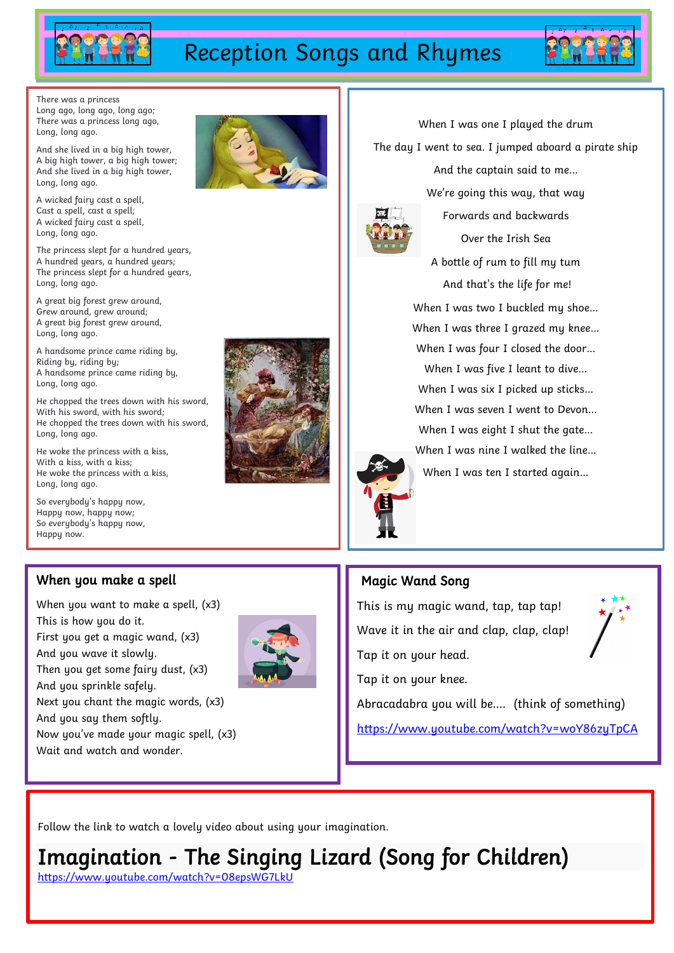

# Reception Songs and Rhymes



There was a princess Long ago, long ago, long ago; There was a princess long ago, Long, long ago.

And she lived in a big high tower, A big high tower, a big high tower; And she lived in a big high tower, Long, long ago.

A wicked fairy cast a spell, Cast a spell, cast a spell; A wicked fairy cast a spell, Long, long ago.

The princess slept for a hundred years, A hundred years, a hundred years; The princess slept for a hundred years, Long, long ago.

A great big forest grew around, Grew around, grew around; A great big forest grew around, Long, long ago.

A handsome prince came riding by, Riding by, riding by; A handsome prince came riding by, Long, long ago.

He chopped the trees down with his sword, With his sword, with his sword; He chopped the trees down with his sword, Long, long ago.

He woke the princess with a kiss, With a kiss, with a kiss: He woke the princess with a kiss, Long, long ago.

When you make a spell

When you want to make a spell, (x3)

First you get a magic wand, (x3)

Then you get some fairy dust, (x3)

Next you chant the magic words, (x3)

Now you've made your magic spell, (x3)

So everybody's happy now, Happy now, happy now; So everybody's happy now, Happy now.

This is how you do it.

And you wave it slowly.

And you sprinkle safely.

And you say them softly.

Wait and watch and wonder.



When I was one I played the drum The day I went to sea. I jumped aboard a pirate ship

And the captain said to me…



We're going this way, that way Forwards and backwards

Over the Irish Sea A bottle of rum to fill my tum And that's the life for me! When I was two I buckled my shoe… When I was three I grazed my knee… When I was four I closed the door… When I was five I leant to dive… When I was six I picked up sticks… When I was seven I went to Devon… When I was eight I shut the gate… When I was nine I walked the line… When I was ten I started again…



## Magic Wand Song

This is my magic wand, tap, tap tap! Wave it in the air and clap, clap, clap! Tap it on your head. Tap it on your knee. Abracadabra you will be…. (think of something)

<https://www.youtube.com/watch?v=woY86zyTpCA>

Follow the link to watch a lovely video about using your imagination.

Imagination - The Singing Lizard (Song for Children)

<https://www.youtube.com/watch?v=08epsWG7LkU>

https://www.youtube.com/watch?v=5lRzjI2eUD